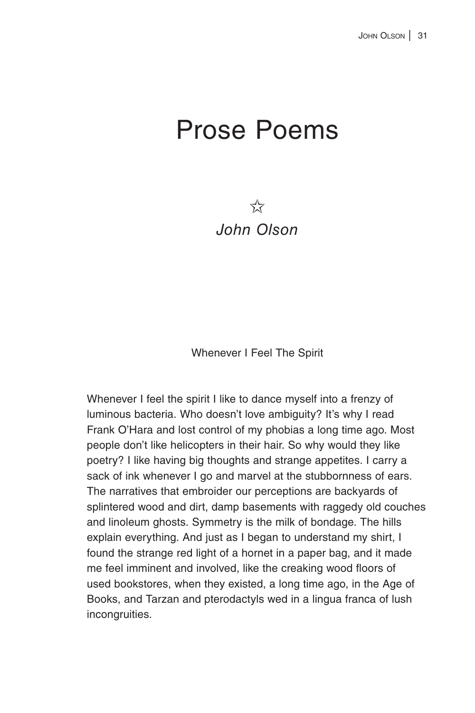# Prose Poems

 $5\frac{1}{2}$ *John Olson*

Whenever I Feel The Spirit

Whenever I feel the spirit I like to dance myself into a frenzy of luminous bacteria. Who doesn't love ambiguity? It's why I read Frank O'Hara and lost control of my phobias a long time ago. Most people don't like helicopters in their hair. So why would they like poetry? I like having big thoughts and strange appetites. I carry a sack of ink whenever I go and marvel at the stubbornness of ears. The narratives that embroider our perceptions are backyards of splintered wood and dirt, damp basements with raggedy old couches and linoleum ghosts. Symmetry is the milk of bondage. The hills explain everything. And just as I began to understand my shirt, I found the strange red light of a hornet in a paper bag, and it made me feel imminent and involved, like the creaking wood floors of used bookstores, when they existed, a long time ago, in the Age of Books, and Tarzan and pterodactyls wed in a lingua franca of lush incongruities.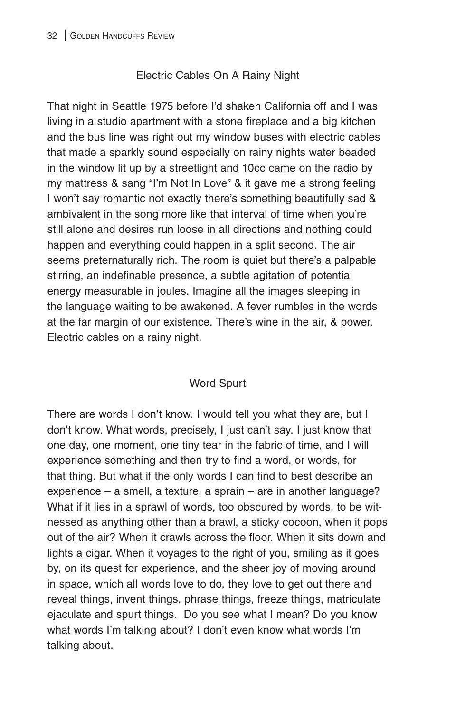## Electric Cables On A Rainy Night

That night in Seattle 1975 before I'd shaken California off and I was living in a studio apartment with a stone fireplace and a big kitchen and the bus line was right out my window buses with electric cables that made a sparkly sound especially on rainy nights water beaded in the window lit up by a streetlight and 10cc came on the radio by my mattress & sang "I'm Not In Love" & it gave me a strong feeling I won't say romantic not exactly there's something beautifully sad & ambivalent in the song more like that interval of time when you're still alone and desires run loose in all directions and nothing could happen and everything could happen in a split second. The air seems preternaturally rich. The room is quiet but there's a palpable stirring, an indefinable presence, a subtle agitation of potential energy measurable in joules. Imagine all the images sleeping in the language waiting to be awakened. A fever rumbles in the words at the far margin of our existence. There's wine in the air, & power. Electric cables on a rainy night.

## Word Spurt

There are words I don't know. I would tell you what they are, but I don't know. What words, precisely, I just can't say. I just know that one day, one moment, one tiny tear in the fabric of time, and I will experience something and then try to find a word, or words, for that thing. But what if the only words I can find to best describe an experience – a smell, a texture, a sprain – are in another language? What if it lies in a sprawl of words, too obscured by words, to be witnessed as anything other than a brawl, a sticky cocoon, when it pops out of the air? When it crawls across the floor. When it sits down and lights a cigar. When it voyages to the right of you, smiling as it goes by, on its quest for experience, and the sheer joy of moving around in space, which all words love to do, they love to get out there and reveal things, invent things, phrase things, freeze things, matriculate ejaculate and spurt things. Do you see what I mean? Do you know what words I'm talking about? I don't even know what words I'm talking about.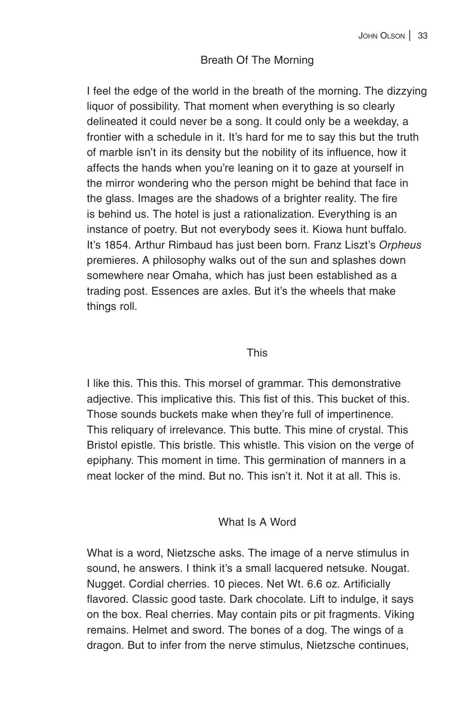## Breath Of The Morning

I feel the edge of the world in the breath of the morning. The dizzying liquor of possibility. That moment when everything is so clearly delineated it could never be a song. It could only be a weekday, a frontier with a schedule in it. It's hard for me to say this but the truth of marble isn't in its density but the nobility of its influence, how it affects the hands when you're leaning on it to gaze at yourself in the mirror wondering who the person might be behind that face in the glass. Images are the shadows of a brighter reality. The fire is behind us. The hotel is just a rationalization. Everything is an instance of poetry. But not everybody sees it. Kiowa hunt buffalo. It's 1854. Arthur Rimbaud has just been born. Franz Liszt's *Orpheus* premieres. A philosophy walks out of the sun and splashes down somewhere near Omaha, which has just been established as a trading post. Essences are axles. But it's the wheels that make things roll.

#### This

I like this. This this. This morsel of grammar. This demonstrative adjective. This implicative this. This fist of this. This bucket of this. Those sounds buckets make when they're full of impertinence. This reliquary of irrelevance. This butte. This mine of crystal. This Bristol epistle. This bristle. This whistle. This vision on the verge of epiphany. This moment in time. This germination of manners in a meat locker of the mind. But no. This isn't it. Not it at all. This is.

## What Is A Word

What is a word, Nietzsche asks. The image of a nerve stimulus in sound, he answers. I think it's a small lacquered netsuke. Nougat. Nugget. Cordial cherries. 10 pieces. Net Wt. 6.6 oz. Artificially flavored. Classic good taste. Dark chocolate. Lift to indulge, it says on the box. Real cherries. May contain pits or pit fragments. Viking remains. Helmet and sword. The bones of a dog. The wings of a dragon. But to infer from the nerve stimulus, Nietzsche continues,